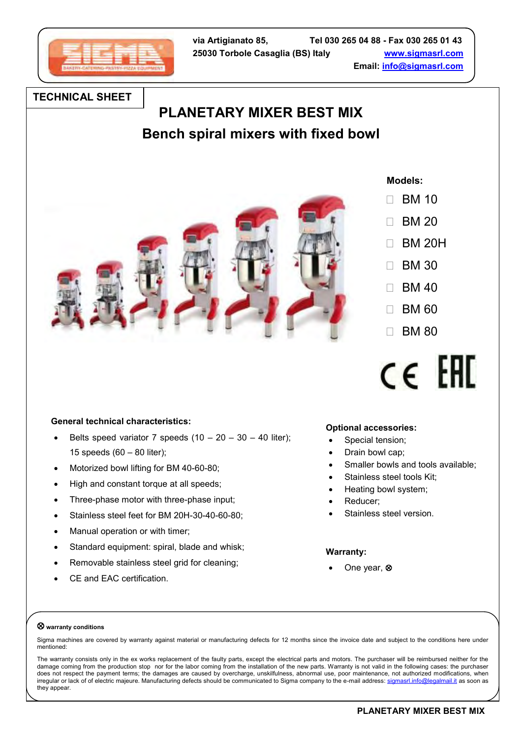

## **TECHNICAL SHEET**

# **PLANETARY MIXER BEST MIX Bench spiral mixers with fixed bowl**



 **Models:**

- $\Box$  BM 10
- $\Box$  BM 20
- $\Box$  BM 20H
- $\Box$  BM 30
- $\Box$  BM 40
- 
- $\Box$  BM 60
- $\Box$  BM 80



## **General technical characteristics:**

- Belts speed variator 7 speeds  $(10 20 30 40)$  liter); 15 speeds (60 – 80 liter);
- Motorized bowl lifting for BM 40-60-80;
- High and constant torque at all speeds;
- Three-phase motor with three-phase input;
- Stainless steel feet for BM 20H-30-40-60-80;
- Manual operation or with timer;
- Standard equipment: spiral, blade and whisk;
- Removable stainless steel grid for cleaning;
- CE and EAC certification.

## **Optional accessories:**

- Special tension;
- Drain bowl cap;
- Smaller bowls and tools available;
- Stainless steel tools Kit;
- Heating bowl system;
- Reducer;
- Stainless steel version.

#### **Warranty:**

One year,  $\otimes$ 

#### **warranty conditions**

Sigma machines are covered by warranty against material or manufacturing defects for 12 months since the invoice date and subject to the conditions here under mentioned:

The warranty consists only in the ex works replacement of the faulty parts, except the electrical parts and motors. The purchaser will be reimbursed neither for the damage coming from the production stop nor for the labor coming from the installation of the new parts. Warranty is not valid in the following cases: the purchaser does not respect the payment terms; the damages are caused by overcharge, unskilfulness, abnormal use, poor maintenance, not authorized modifications, when irregular or lack of of electric majeure. Manufacturing defects should be communicated to Sigma company to the e-mail address: [sigmasrl.info@legalmail.it](mailto:sigmasrl.info@legalmail.it) as soon as they appear.